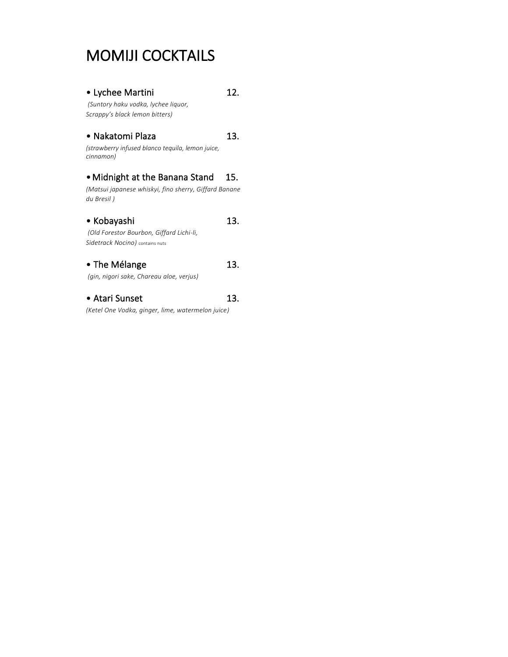### MOMIJI COCKTAILS

#### • Lychee Martini 12.

*(Suntory haku vodka, lychee liquor, Scrappy's black lemon bitters)*

#### • Nakatomi Plaza 13.

*(strawberry infused blanco tequila, lemon juice, cinnamon)*

#### • Midnight at the Banana Stand 15.

*(Matsui japanese whiskyi, fino sherry, Giffard Banane du Bresil )*

#### • Kobayashi 13. *(Old Forestor Bourbon, Giffard Lichi-li,*

*Sidetrack Nocino)* contains nuts

#### • The Mélange 13.

*(gin, nigori sake, Chareau aloe, verjus)*

#### • Atari Sunset 13.

*(Ketel One Vodka, ginger, lime, watermelon juice)*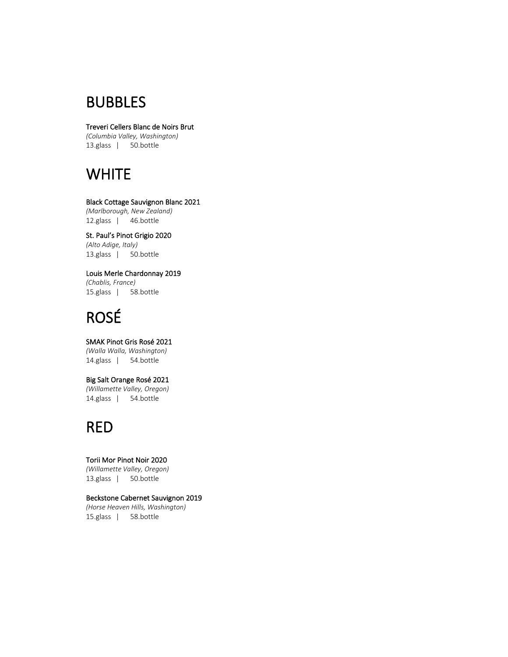### BUBBLES

#### Treveri Cellers Blanc de Noirs Brut

*(Columbia Valley, Washington)* 13.glass | 50.bottle

### **WHITE**

#### Black Cottage Sauvignon Blanc 2021 *(Marlborough, New Zealand)* 12.glass | 46.bottle

St. Paul's Pinot Grigio 2020 *(Alto Adige, Italy)* 13.glass | 50.bottle

Louis Merle Chardonnay 2019 *(Chablis, France)* 15.glass | 58.bottle

# ROSÉ

SMAK Pinot Gris Rosé 2021 *(Walla Walla, Washington)* 14.glass | 54.bottle

#### Big Salt Orange Rosé 2021

*(Willamette Valley, Oregon)* 14.glass | 54.bottle

### RED

Torii Mor Pinot Noir 2020 *(Willamette Valley, Oregon)* 13.glass | 50.bottle

#### Beckstone Cabernet Sauvignon 2019 *(Horse Heaven Hills, Washington)* 15.glass | 58.bottle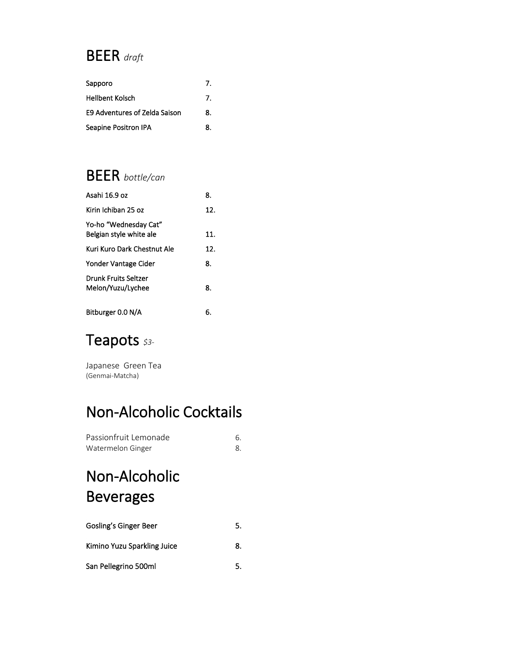### BEER *draft*

| Sapporo                       | 7.             |
|-------------------------------|----------------|
| <b>Hellbent Kolsch</b>        | $\overline{7}$ |
| E9 Adventures of Zelda Saison | 8.             |
| Seapine Positron IPA          | 8.             |

### BEER *bottle/can*

| Asahi 16.9 oz                                    | 8.  |
|--------------------------------------------------|-----|
| Kirin Ichiban 25 oz                              | 12. |
| Yo-ho "Wednesday Cat"<br>Belgian style white ale | 11. |
| Kuri Kuro Dark Chestnut Ale                      | 12. |
| Yonder Vantage Cider                             | 8.  |
| <b>Drunk Fruits Seltzer</b><br>Melon/Yuzu/Lychee | 8.  |
| Bitburger 0.0 N/A                                | 6.  |

### Teapots *\$3-*

Japanese Green Tea (Genmai-Matcha)

### Non-Alcoholic Cocktails

| Passionfruit Lemonade |  |
|-----------------------|--|
| Watermelon Ginger     |  |

# Non-Alcoholic Beverages

| Gosling's Ginger Beer       | 5. |
|-----------------------------|----|
| Kimino Yuzu Sparkling Juice | 8. |
| San Pellegrino 500ml        | 5. |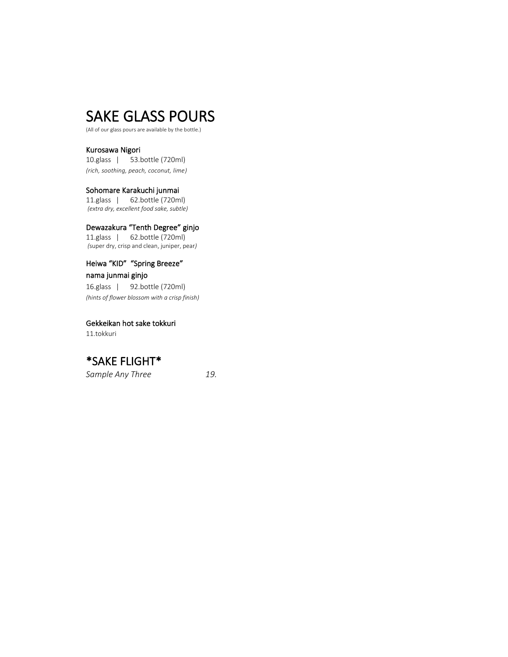### SAKE GLASS POURS

(All of our glass pours are available by the bottle.)

Kurosawa Nigori 10.glass | 53.bottle (720ml) *(rich, soothing, peach, coconut, lime)*

Sohomare Karakuchi junmai 11.glass | 62.bottle (720ml) *(extra dry, excellent food sake, subtle)*

Dewazakura "Tenth Degree" ginjo 11.glass | 62.bottle (720ml) *(*super dry, crisp and clean, juniper, pear*)*

#### Heiwa "KID" "Spring Breeze"

nama junmai ginjo 16.glass | 92.bottle (720ml) *(hints of flower blossom with a crisp finish)*

Gekkeikan hot sake tokkuri 11.tokkuri

### \*SAKE FLIGHT\*

*Sample Any Three 19.*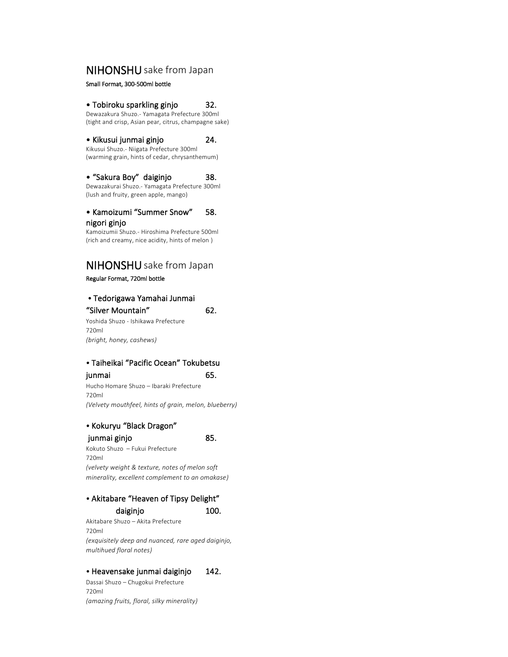#### NIHONSHU sake from Japan

Small Format, 300-500ml bottle

#### • Tobiroku sparkling ginjo 32.

Dewazakura Shuzo.- Yamagata Prefecture 300ml (tight and crisp, Asian pear, citrus, champagne sake)

• Kikusui junmai ginjo 24. Kikusui Shuzo.- Niigata Prefecture 300ml

(warming grain, hints of cedar, chrysanthemum)

#### • "Sakura Boy" daiginjo 38.

Dewazakurai Shuzo.- Yamagata Prefecture 300ml (lush and fruity, green apple, mango)

#### • Kamoizumi "Summer Snow" 58. nigori ginjo

Kamoizumii Shuzo.- Hiroshima Prefecture 500ml (rich and creamy, nice acidity, hints of melon )

### NIHONSHU sake from Japan

Regular Format, 720ml bottle

### • Tedorigawa Yamahai Junmai

"Silver Mountain" 62. Yoshida Shuzo - Ishikawa Prefecture

720ml *(bright, honey, cashews)*

#### • Taiheikai "Pacific Ocean" Tokubetsu

#### junmai 65.

Hucho Homare Shuzo – Ibaraki Prefecture 720ml *(Velvety mouthfeel, hints of grain, melon, blueberry)*

#### • Kokuryu "Black Dragon"

junmai ginjo 85.

Kokuto Shuzo – Fukui Prefecture 720ml *(velvety weight & texture, notes of melon soft minerality, excellent complement to an omakase)*

#### • Akitabare "Heaven of Tipsy Delight" daiginjo 100.

Akitabare Shuzo – Akita Prefecture 720ml *(exquisitely deep and nuanced, rare aged daiginjo, multihued floral notes)*

#### • Heavensake junmai daiginjo 142.

Dassai Shuzo – Chugokui Prefecture 720ml *(amazing fruits, floral, silky minerality)*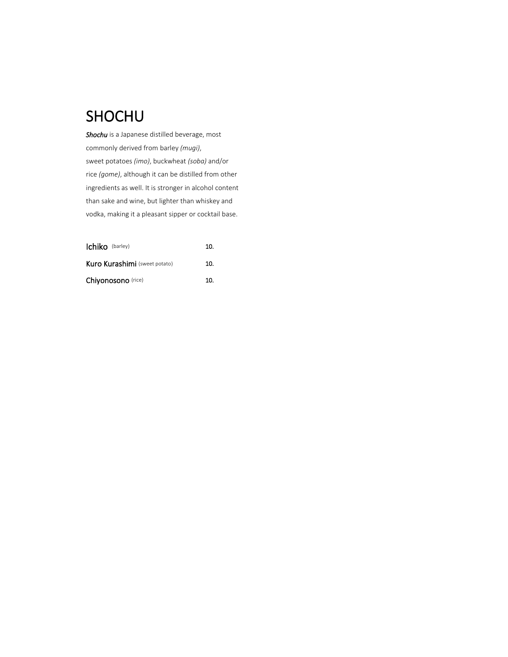### SHOCHU

*Shochu* is a Japanese distilled beverage, most commonly derived from barley *(mugi)*, sweet potatoes *(imo)*, buckwheat *(soba)* and/or rice *(gome)*, although it can be distilled from other ingredients as well. It is stronger in alcohol content than sake and wine, but lighter than whiskey and vodka, making it a pleasant sipper or cocktail base.

| <b>Ichiko</b> (barley)               | 10. |
|--------------------------------------|-----|
| <b>Kuro Kurashimi</b> (sweet potato) | 10. |
| Chiyonosono (rice)                   | 10. |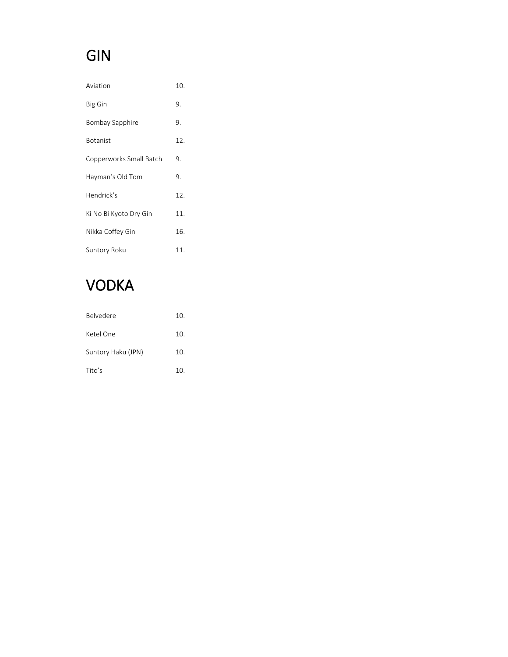# GIN

| Aviation                | 10. |
|-------------------------|-----|
| <b>Big Gin</b>          | 9.  |
| Bombay Sapphire         | 9.  |
| <b>Botanist</b>         | 12. |
| Copperworks Small Batch | 9.  |
| Hayman's Old Tom        | 9.  |
| Hendrick's              | 12. |
| Ki No Bi Kyoto Dry Gin  | 11. |
| Nikka Coffey Gin        | 16. |
| Suntory Roku            | 11. |

# VODKA

| <b>Belvedere</b>   | 10. |
|--------------------|-----|
| Ketel One          | 10. |
| Suntory Haku (JPN) | 10. |
| Tito's             | 10. |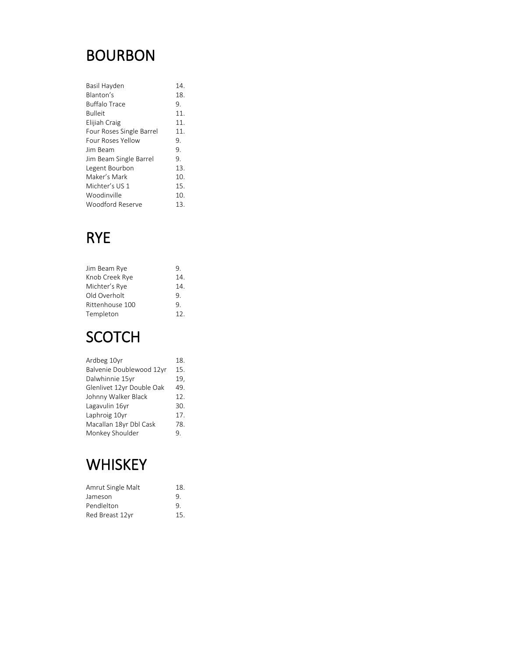### BOURBON

| Basil Hayden             | 14. |
|--------------------------|-----|
| Blanton's                | 18. |
| <b>Buffalo Trace</b>     | 9.  |
| <b>Bulleit</b>           | 11. |
| Elijiah Craig            | 11. |
| Four Roses Single Barrel | 11. |
| Four Roses Yellow        | 9.  |
| lim Beam                 | 9.  |
| Jim Beam Single Barrel   | 9.  |
| Legent Bourbon           | 13. |
| Maker's Mark             | 10. |
| Michter's US 1           | 15. |
| Woodinville              | 10. |
| Woodford Reserve         | 13. |

# RYE

| Jim Beam Rye    | 9.  |
|-----------------|-----|
| Knob Creek Rye  | 14. |
| Michter's Rye   | 14. |
| Old Overholt    | 9.  |
| Rittenhouse 100 | 9.  |
| Templeton       | 12. |

### SCOTCH

| Ardbeg 10yr               | 18. |
|---------------------------|-----|
| Balvenie Doublewood 12yr  | 15. |
| Dalwhinnie 15yr           | 19, |
| Glenlivet 12yr Double Oak | 49. |
| Johnny Walker Black       | 12. |
| Lagavulin 16yr            | 30. |
| Laphroig 10yr             | 17. |
| Macallan 18yr Dbl Cask    | 78. |
| Monkey Shoulder           | ٩.  |

# **WHISKEY**

| Amrut Single Malt | 18. |
|-------------------|-----|
| Jameson           | 9.  |
| Pendlelton        | 9   |
| Red Breast 12yr   | 15. |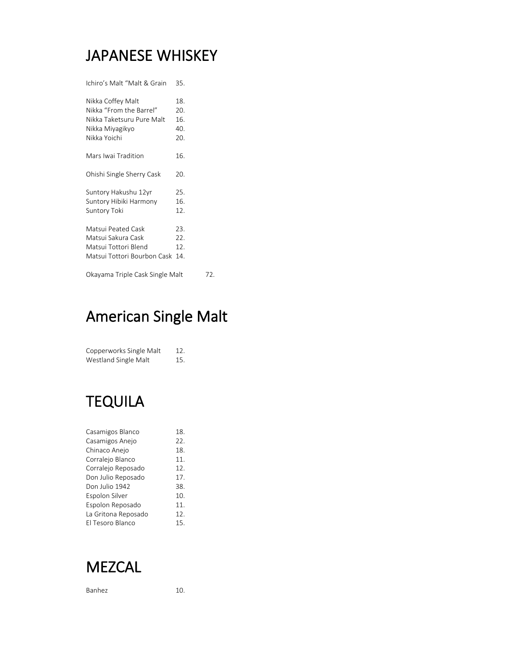### JAPANESE WHISKEY

Ichiro's Malt "Malt & Grain 35.

| Nikka Coffey Malt<br>Nikka "From the Barrel"<br>Nikka Taketsuru Pure Malt<br>Nikka Miyagikyo<br>Nikka Yoichi | 18.<br>20.<br>16.<br>40.<br>20. |  |
|--------------------------------------------------------------------------------------------------------------|---------------------------------|--|
| Mars Iwai Tradition                                                                                          | 16.                             |  |
| Ohishi Single Sherry Cask                                                                                    | 20.                             |  |
| Suntory Hakushu 12yr<br>Suntory Hibiki Harmony<br>Suntory Toki                                               | 25.<br>16.<br>12.               |  |
| Matsui Peated Cask<br>Matsui Sakura Cask<br>Matsui Tottori Blend<br>Matsui Tottori Bourbon Cask              | 23.<br>22.<br>12.<br>14.        |  |
| Okayama Triple Cask Single Malt                                                                              | 72.                             |  |

### American Single Malt

| Copperworks Single Malt | 12.  |
|-------------------------|------|
| Westland Single Malt    | -15. |

# TEQUILA

| Casamigos Blanco    | 18. |
|---------------------|-----|
| Casamigos Anejo     | 22. |
| Chinaco Anejo       | 18. |
| Corralejo Blanco    | 11. |
| Corralejo Reposado  | 12. |
| Don Julio Reposado  | 17. |
| Don Julio 1942      | 38. |
| Espolon Silver      | 10. |
| Espolon Reposado    | 11. |
| La Gritona Reposado | 12. |
| El Tesoro Blanco    | 15. |



Banhez 10.